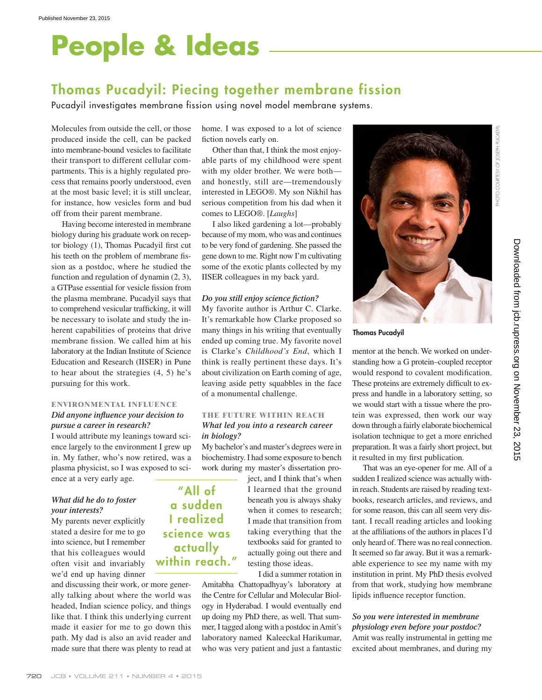# **People & Ideas**

## **Thomas Pucadyil: Piecing together membrane fission**

Pucadyil investigates membrane fission using novel model membrane systems.

Molecules from outside the cell, or those produced inside the cell, can be packed into membrane-bound vesicles to facilitate their transport to different cellular compartments. This is a highly regulated process that remains poorly understood, even at the most basic level; it is still unclear, for instance, how vesicles form and bud off from their parent membrane.

Having become interested in membrane biology during his graduate work on receptor biology  $(1)$ , Thomas Pucadyil first cut his teeth on the problem of membrane fission as a postdoc, where he studied the function and regulation of dynamin (2, 3), a GTPase essential for vesicle fission from the plasma membrane. Pucadyil says that to comprehend vesicular trafficking, it will be necessary to isolate and study the inherent capabilities of proteins that drive membrane fission. We called him at his laboratory at the Indian Institute of Science Education and Research (IISER) in Pune to hear about the strategies (4, 5) he's pursuing for this work.

### **ENVIRONMENTAL INFLUENCE**

#### *Did anyone infl uence your decision to pursue a career in research?*

I would attribute my leanings toward science largely to the environment I grew up in. My father, who's now retired, was a plasma physicist, so I was exposed to science at a very early age.

#### *What did he do to foster your interests?*

My parents never explicitly stated a desire for me to go into science, but I remember that his colleagues would often visit and invariably we'd end up having dinner

and discussing their work, or more generally talking about where the world was headed, Indian science policy, and things like that. I think this underlying current made it easier for me to go down this path. My dad is also an avid reader and made sure that there was plenty to read at

home. I was exposed to a lot of science fiction novels early on.

Other than that, I think the most enjoyable parts of my childhood were spent with my older brother. We were both and honestly, still are—tremendously interested in LEGO®. My son Nikhil has serious competition from his dad when it comes to LEGO®. [*Laughs*]

I also liked gardening a lot—probably because of my mom, who was and continues to be very fond of gardening. She passed the gene down to me. Right now I'm cultivating some of the exotic plants collected by my IISER colleagues in my back yard.

#### *Do you still enjoy science fiction?*

My favorite author is Arthur C. Clarke. It's remarkable how Clarke proposed so many things in his writing that eventually ended up coming true. My favorite novel is Clarke's *Childhood's End*, which I think is really pertinent these days. It's about civilization on Earth coming of age, leaving aside petty squabbles in the face of a monumental challenge.

#### **THE FUTURE WITHIN REACH** *What led you into a research career in biology?*

My bachelor's and master's degrees were in biochemistry. I had some exposure to bench work during my master's dissertation pro-

> ject, and I think that's when I learned that the ground beneath you is always shaky when it comes to research; I made that transition from taking everything that the textbooks said for granted to actually going out there and testing those ideas.

I did a summer rotation in

Amitabha Chattopadhyay's laboratory at the Centre for Cellular and Molecular Biology in Hyderabad. I would eventually end up doing my PhD there, as well. That summer, I tagged along with a postdoc in Amit's laboratory named Kaleeckal Harikumar, who was very patient and just a fantastic



#### **Thomas Pucadyil**

mentor at the bench. We worked on understanding how a G protein–coupled receptor would respond to covalent modification. These proteins are extremely difficult to express and handle in a laboratory setting, so we would start with a tissue where the protein was expressed, then work our way down through a fairly elaborate biochemical isolation technique to get a more enriched preparation. It was a fairly short project, but it resulted in my first publication.

That was an eye-opener for me. All of a sudden I realized science was actually within reach. Students are raised by reading textbooks, research articles, and reviews, and for some reason, this can all seem very distant. I recall reading articles and looking at the affiliations of the authors in places I'd only heard of. There was no real connection. It seemed so far away. But it was a remarkable experience to see my name with my institution in print. My PhD thesis evolved from that work, studying how membrane lipids influence receptor function.

#### *So you were interested in membrane physiology even before your postdoc?* Amit was really instrumental in getting me excited about membranes, and during my

## **"All of a sudden I realized science was actually within reach."**

PHOTO COURTESY OF JOSEPH PUCADYIL